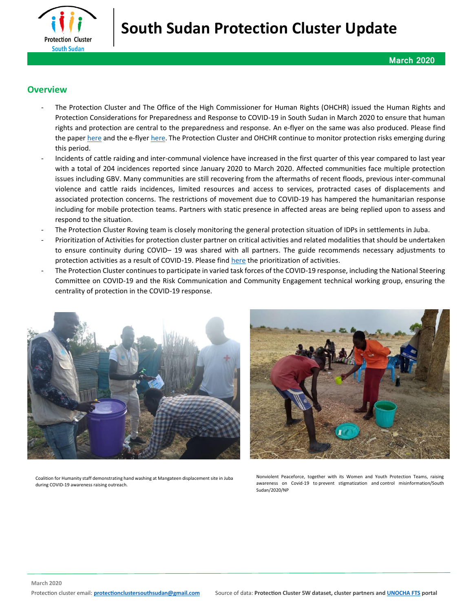

## **Overview**

- The Protection Cluster and The Office of the High Commissioner for Human Rights (OHCHR) issued the Human Rights and Protection Considerations for Preparedness and Response to COVID-19 in South Sudan in March 2020 to ensure that human rights and protection are central to the preparedness and response. An e-flyer on the same was also produced. Please find the paper [here](https://www.globalprotectioncluster.org/wp-content/uploads/Updated-Human-Rights-and-Protection-Considerations-COVID-19.pdf) and the e-flyer [here.](https://www.globalprotectioncluster.org/wp-content/uploads/Protection-Human-Rights-and-COVID-19-Response.jpg) The Protection Cluster and OHCHR continue to monitor protection risks emerging during this period.
- Incidents of cattle raiding and inter-communal violence have increased in the first quarter of this year compared to last year with a total of 204 incidences reported since January 2020 to March 2020. Affected communities face multiple protection issues including GBV. Many communities are still recovering from the aftermaths of recent floods, previous inter-communal violence and cattle raids incidences, limited resources and access to services, protracted cases of displacements and associated protection concerns. The restrictions of movement due to COVID-19 has hampered the humanitarian response including for mobile protection teams. Partners with static presence in affected areas are being replied upon to assess and respond to the situation.
- The Protection Cluster Roving team is closely monitoring the general protection situation of IDPs in settlements in Juba.
- Prioritization of Activities for protection cluster partner on critical activities and related modalities that should be undertaken to ensure continuity during COVID– 19 was shared with all partners. The guide recommends necessary adjustments to protection activities as a result of COVID-19. Please fin[d here](http://data.globalprotectioncluster.org/en/documents/details/82) the prioritization of activities.
- The Protection Cluster continues to participate in varied task forces of the COVID-19 response, including the National Steering Committee on COVID-19 and the Risk Communication and Community Engagement technical working group, ensuring the centrality of protection in the COVID-19 response.



Coalition for Humanity staff demonstrating hand washing at Mangateen displacement site in Juba during COVID-19 awareness raising outreach.

Nonviolent Peaceforce, together with its Women and Youth Protection Teams, raising awareness on Covid-19 to prevent stigmatization and control misinformation/South Sudan/2020/NP

**March 2020**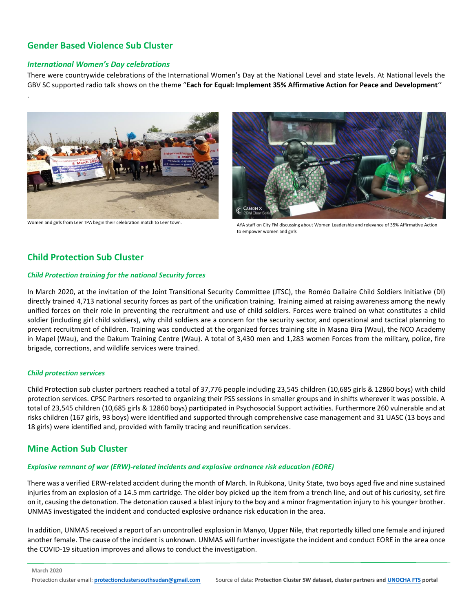# **Gender Based Violence Sub Cluster**

### *International Women's Day celebrations*

.

There were countrywide celebrations of the International Women's Day at the National Level and state levels. At National levels the GBV SC supported radio talk shows on the theme "**Each for Equal: Implement 35% Affirmative Action for Peace and Development**''



Women and girls from Leer TPA begin their celebration match to Leer town.



AYA staff on City FM discussing about Women Leadership and relevance of 35% Affirmative Action to empower women and girls

## **Child Protection Sub Cluster**

#### *Child Protection training for the national Security forces*

In March 2020, at the invitation of the Joint Transitional Security Committee (JTSC), the Roméo Dallaire Child Soldiers Initiative (DI) directly trained 4,713 national security forces as part of the unification training. Training aimed at raising awareness among the newly unified forces on their role in preventing the recruitment and use of child soldiers. Forces were trained on what constitutes a child soldier (including girl child soldiers), why child soldiers are a concern for the security sector, and operational and tactical planning to prevent recruitment of children. Training was conducted at the organized forces training site in Masna Bira (Wau), the NCO Academy in Mapel (Wau), and the Dakum Training Centre (Wau). A total of 3,430 men and 1,283 women Forces from the military, police, fire brigade, corrections, and wildlife services were trained.

#### *Child protection services*

Child Protection sub cluster partners reached a total of 37,776 people including 23,545 children (10,685 girls & 12860 boys) with child protection services. CPSC Partners resorted to organizing their PSS sessions in smaller groups and in shifts wherever it was possible. A total of 23,545 children (10,685 girls & 12860 boys) participated in Psychosocial Support activities. Furthermore 260 vulnerable and at risks children (167 girls, 93 boys) were identified and supported through comprehensive case management and 31 UASC (13 boys and 18 girls) were identified and, provided with family tracing and reunification services.

## **Mine Action Sub Cluster**

### *Explosive remnant of war (ERW)-related incidents and explosive ordnance risk education (EORE)*

There was a verified ERW-related accident during the month of March. In Rubkona, Unity State, two boys aged five and nine sustained injuries from an explosion of a 14.5 mm cartridge. The older boy picked up the item from a trench line, and out of his curiosity, set fire on it, causing the detonation. The detonation caused a blast injury to the boy and a minor fragmentation injury to his younger brother. UNMAS investigated the incident and conducted explosive ordnance risk education in the area.

In addition, UNMAS received a report of an uncontrolled explosion in Manyo, Upper Nile, that reportedly killed one female and injured another female. The cause of the incident is unknown. UNMAS will further investigate the incident and conduct EORE in the area once the COVID-19 situation improves and allows to conduct the investigation.

**March 2020**

Protection cluster email: **protectionclustersouthsudan@gmail.com** Source of data: **Protection Cluster 5W dataset, cluster partners an[d UNOCHA FTS](https://fts.unocha.org/appeals/865/summary) portal**